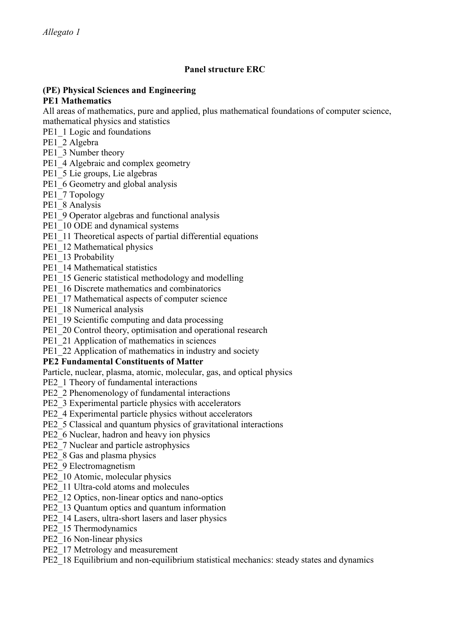## **Panel structure ERC**

# **(PE) Physical Sciences and Engineering**

#### **PE1 Mathematics**

All areas of mathematics, pure and applied, plus mathematical foundations of computer science, mathematical physics and statistics

- PE1\_1 Logic and foundations
- PE1\_2 Algebra
- PE1\_3 Number theory
- PE1\_4 Algebraic and complex geometry
- PE1\_5 Lie groups, Lie algebras
- PE1 6 Geometry and global analysis
- PE1\_7 Topology
- PE1\_8 Analysis
- PE1\_9 Operator algebras and functional analysis
- PE1\_10 ODE and dynamical systems
- PE1\_11 Theoretical aspects of partial differential equations
- PE1\_12 Mathematical physics
- PE1\_13 Probability
- PE1\_14 Mathematical statistics
- PE1\_15 Generic statistical methodology and modelling
- PE1\_16 Discrete mathematics and combinatorics
- PE1\_17 Mathematical aspects of computer science
- PE1\_18 Numerical analysis
- PE1\_19 Scientific computing and data processing
- PE1\_20 Control theory, optimisation and operational research
- PE1\_21 Application of mathematics in sciences
- PE1\_22 Application of mathematics in industry and society

#### **PE2 Fundamental Constituents of Matter**

- Particle, nuclear, plasma, atomic, molecular, gas, and optical physics
- PE2\_1 Theory of fundamental interactions
- PE2\_2 Phenomenology of fundamental interactions
- PE2\_3 Experimental particle physics with accelerators
- PE2\_4 Experimental particle physics without accelerators
- PE2\_5 Classical and quantum physics of gravitational interactions
- PE2\_6 Nuclear, hadron and heavy ion physics
- PE2\_7 Nuclear and particle astrophysics
- PE2\_8 Gas and plasma physics
- PE2\_9 Electromagnetism
- PE2\_10 Atomic, molecular physics
- PE2\_11 Ultra-cold atoms and molecules
- PE2\_12 Optics, non-linear optics and nano-optics
- PE2\_13 Quantum optics and quantum information
- PE2\_14 Lasers, ultra-short lasers and laser physics
- PE2\_15 Thermodynamics
- PE2\_16 Non-linear physics
- PE2\_17 Metrology and measurement
- PE2\_18 Equilibrium and non-equilibrium statistical mechanics: steady states and dynamics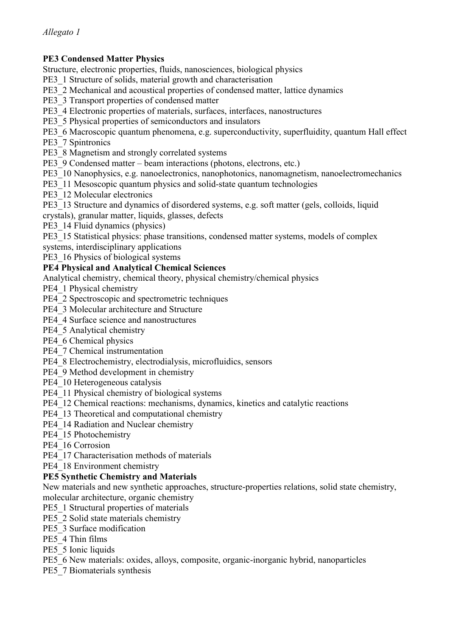# **PE3 Condensed Matter Physics**

Structure, electronic properties, fluids, nanosciences, biological physics

- PE3\_1 Structure of solids, material growth and characterisation
- PE3\_2 Mechanical and acoustical properties of condensed matter, lattice dynamics
- PE3\_3 Transport properties of condensed matter
- PE3\_4 Electronic properties of materials, surfaces, interfaces, nanostructures
- PE3\_5 Physical properties of semiconductors and insulators
- PE3\_6 Macroscopic quantum phenomena, e.g. superconductivity, superfluidity, quantum Hall effect

PE3\_7 Spintronics

- PE3\_8 Magnetism and strongly correlated systems
- PE3\_9 Condensed matter beam interactions (photons, electrons, etc.)
- PE3\_10 Nanophysics, e.g. nanoelectronics, nanophotonics, nanomagnetism, nanoelectromechanics
- PE3\_11 Mesoscopic quantum physics and solid-state quantum technologies
- PE3\_12 Molecular electronics
- PE3\_13 Structure and dynamics of disordered systems, e.g. soft matter (gels, colloids, liquid
- crystals), granular matter, liquids, glasses, defects
- PE3 14 Fluid dynamics (physics)
- PE3\_15 Statistical physics: phase transitions, condensed matter systems, models of complex
- systems, interdisciplinary applications
- PE3 16 Physics of biological systems

## **PE4 Physical and Analytical Chemical Sciences**

- Analytical chemistry, chemical theory, physical chemistry/chemical physics
- PE4\_1 Physical chemistry
- PE4\_2 Spectroscopic and spectrometric techniques
- PE4\_3 Molecular architecture and Structure
- PE4\_4 Surface science and nanostructures
- PE4\_5 Analytical chemistry
- PE4\_6 Chemical physics
- PE4\_7 Chemical instrumentation
- PE4\_8 Electrochemistry, electrodialysis, microfluidics, sensors
- PE4\_9 Method development in chemistry
- PE4\_10 Heterogeneous catalysis
- PE4\_11 Physical chemistry of biological systems
- PE4\_12 Chemical reactions: mechanisms, dynamics, kinetics and catalytic reactions
- PE4\_13 Theoretical and computational chemistry
- PE4\_14 Radiation and Nuclear chemistry
- PE4\_15 Photochemistry
- PE4\_16 Corrosion
- PE4\_17 Characterisation methods of materials
- PE4\_18 Environment chemistry

## **PE5 Synthetic Chemistry and Materials**

New materials and new synthetic approaches, structure-properties relations, solid state chemistry, molecular architecture, organic chemistry

- PE5\_1 Structural properties of materials
- PE5\_2 Solid state materials chemistry
- PE5\_3 Surface modification
- PE5\_4 Thin films
- PE5\_5 Ionic liquids
- PE5\_6 New materials: oxides, alloys, composite, organic-inorganic hybrid, nanoparticles
- PE5\_7 Biomaterials synthesis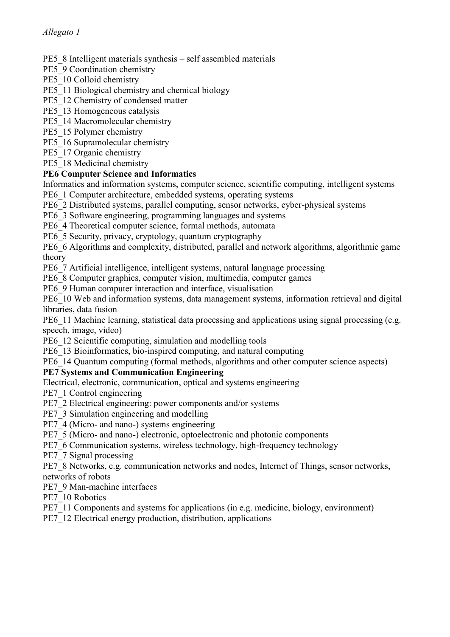- PE5\_8 Intelligent materials synthesis self assembled materials
- PE5\_9 Coordination chemistry
- PE5\_10 Colloid chemistry
- PE5\_11 Biological chemistry and chemical biology
- PE5\_12 Chemistry of condensed matter
- PE5\_13 Homogeneous catalysis
- PE5\_14 Macromolecular chemistry
- PE5\_15 Polymer chemistry
- PE5\_16 Supramolecular chemistry
- PE5\_17 Organic chemistry
- PE5\_18 Medicinal chemistry

# **PE6 Computer Science and Informatics**

Informatics and information systems, computer science, scientific computing, intelligent systems PE6\_1 Computer architecture, embedded systems, operating systems

- PE6\_2 Distributed systems, parallel computing, sensor networks, cyber-physical systems
- PE6\_3 Software engineering, programming languages and systems
- PE6\_4 Theoretical computer science, formal methods, automata
- PE6\_5 Security, privacy, cryptology, quantum cryptography

PE6\_6 Algorithms and complexity, distributed, parallel and network algorithms, algorithmic game theory

PE6\_7 Artificial intelligence, intelligent systems, natural language processing

PE6\_8 Computer graphics, computer vision, multimedia, computer games

PE6\_9 Human computer interaction and interface, visualisation

PE6. 10 Web and information systems, data management systems, information retrieval and digital libraries, data fusion

PE6\_11 Machine learning, statistical data processing and applications using signal processing (e.g. speech, image, video)

PE6\_12 Scientific computing, simulation and modelling tools

PE6\_13 Bioinformatics, bio-inspired computing, and natural computing

PE6\_14 Quantum computing (formal methods, algorithms and other computer science aspects)

# **PE7 Systems and Communication Engineering**

Electrical, electronic, communication, optical and systems engineering

PE7\_1 Control engineering

- PE7\_2 Electrical engineering: power components and/or systems
- PE7\_3 Simulation engineering and modelling
- PE7\_4 (Micro- and nano-) systems engineering
- PE7\_5 (Micro- and nano-) electronic, optoelectronic and photonic components
- PE7\_6 Communication systems, wireless technology, high-frequency technology

PE7\_7 Signal processing

PE7\_8 Networks, e.g. communication networks and nodes, Internet of Things, sensor networks, networks of robots

PE7\_9 Man-machine interfaces

PE7\_10 Robotics

- PE7\_11 Components and systems for applications (in e.g. medicine, biology, environment)
- PE7\_12 Electrical energy production, distribution, applications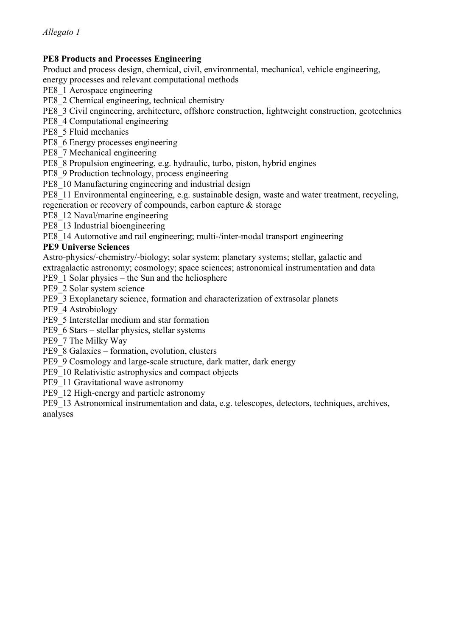## **PE8 Products and Processes Engineering**

Product and process design, chemical, civil, environmental, mechanical, vehicle engineering,

energy processes and relevant computational methods

PE8\_1 Aerospace engineering

PE8\_2 Chemical engineering, technical chemistry

PE8\_3 Civil engineering, architecture, offshore construction, lightweight construction, geotechnics

- PE8\_4 Computational engineering
- PE8\_5 Fluid mechanics
- PE8\_6 Energy processes engineering

PE8\_7 Mechanical engineering

PE8\_8 Propulsion engineering, e.g. hydraulic, turbo, piston, hybrid engines

PE8\_9 Production technology, process engineering

- PE8 10 Manufacturing engineering and industrial design
- PE8\_11 Environmental engineering, e.g. sustainable design, waste and water treatment, recycling, regeneration or recovery of compounds, carbon capture & storage

PE8 12 Naval/marine engineering

PE8 13 Industrial bioengineering

PE8\_14 Automotive and rail engineering; multi-/inter-modal transport engineering

## **PE9 Universe Sciences**

Astro-physics/-chemistry/-biology; solar system; planetary systems; stellar, galactic and extragalactic astronomy; cosmology; space sciences; astronomical instrumentation and data

PE9\_1 Solar physics – the Sun and the heliosphere

PE9\_2 Solar system science

PE9\_3 Exoplanetary science, formation and characterization of extrasolar planets

PE9\_4 Astrobiology

PE9\_5 Interstellar medium and star formation

PE9\_6 Stars – stellar physics, stellar systems

PE9\_7 The Milky Way

PE9\_8 Galaxies – formation, evolution, clusters

PE9\_9 Cosmology and large-scale structure, dark matter, dark energy

PE9\_10 Relativistic astrophysics and compact objects

PE9\_11 Gravitational wave astronomy

PE9 12 High-energy and particle astronomy

PE9\_13 Astronomical instrumentation and data, e.g. telescopes, detectors, techniques, archives, analyses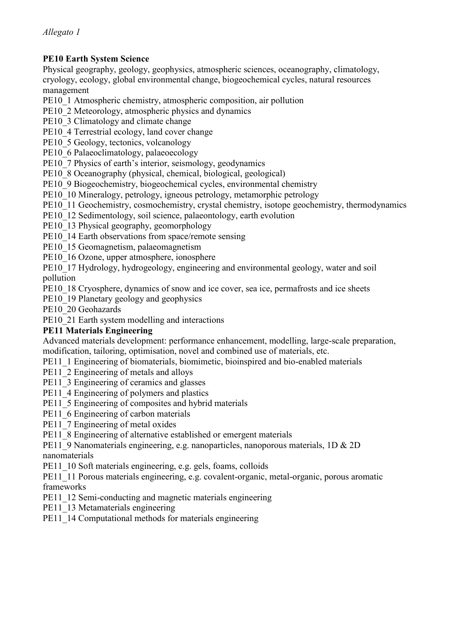## **PE10 Earth System Science**

Physical geography, geology, geophysics, atmospheric sciences, oceanography, climatology, cryology, ecology, global environmental change, biogeochemical cycles, natural resources management

PE10\_1 Atmospheric chemistry, atmospheric composition, air pollution

PE10\_2 Meteorology, atmospheric physics and dynamics

PE10\_3 Climatology and climate change

PE10\_4 Terrestrial ecology, land cover change

PE10\_5 Geology, tectonics, volcanology

PE10\_6 Palaeoclimatology, palaeoecology

PE10\_7 Physics of earth's interior, seismology, geodynamics

PE10\_8 Oceanography (physical, chemical, biological, geological)

PE10\_9 Biogeochemistry, biogeochemical cycles, environmental chemistry

PE10\_10 Mineralogy, petrology, igneous petrology, metamorphic petrology

PE10 11 Geochemistry, cosmochemistry, crystal chemistry, isotope geochemistry, thermodynamics

PE10 12 Sedimentology, soil science, palaeontology, earth evolution

PE10 13 Physical geography, geomorphology

PE10\_14 Earth observations from space/remote sensing

PE10 15 Geomagnetism, palaeomagnetism

PE10 16 Ozone, upper atmosphere, ionosphere

PE10\_17 Hydrology, hydrogeology, engineering and environmental geology, water and soil pollution

PE10\_18 Cryosphere, dynamics of snow and ice cover, sea ice, permafrosts and ice sheets

PE10<sup>19</sup> Planetary geology and geophysics

PE10\_20 Geohazards

PE10\_21 Earth system modelling and interactions

## **PE11 Materials Engineering**

Advanced materials development: performance enhancement, modelling, large-scale preparation, modification, tailoring, optimisation, novel and combined use of materials, etc.

PE11\_1 Engineering of biomaterials, biomimetic, bioinspired and bio-enabled materials

PE11\_2 Engineering of metals and alloys

PE11\_3 Engineering of ceramics and glasses

PE11\_4 Engineering of polymers and plastics

PE11\_5 Engineering of composites and hybrid materials

PE11\_6 Engineering of carbon materials

PE11\_7 Engineering of metal oxides

PE11\_8 Engineering of alternative established or emergent materials

PE11\_9 Nanomaterials engineering, e.g. nanoparticles, nanoporous materials, 1D & 2D nanomaterials

PE11 10 Soft materials engineering, e.g. gels, foams, colloids

PE11\_11 Porous materials engineering, e.g. covalent-organic, metal-organic, porous aromatic frameworks

PE11 12 Semi-conducting and magnetic materials engineering

PE11\_13 Metamaterials engineering

PE11\_14 Computational methods for materials engineering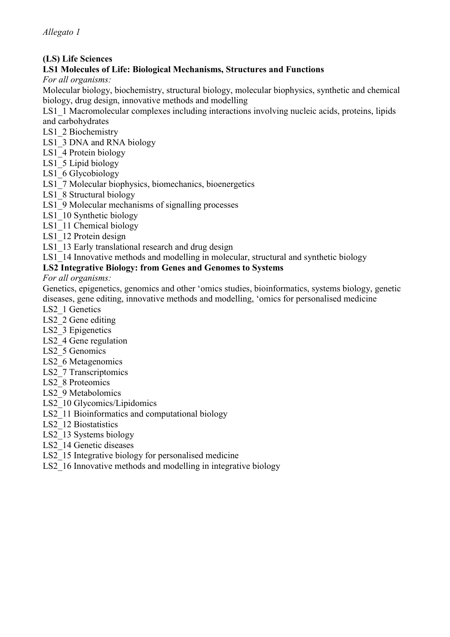## **(LS) Life Sciences**

### **LS1 Molecules of Life: Biological Mechanisms, Structures and Functions**

*For all organisms:* 

Molecular biology, biochemistry, structural biology, molecular biophysics, synthetic and chemical biology, drug design, innovative methods and modelling

LS1\_1 Macromolecular complexes including interactions involving nucleic acids, proteins, lipids and carbohydrates

- LS1\_2 Biochemistry
- LS1\_3 DNA and RNA biology
- LS1\_4 Protein biology
- LS1\_5 Lipid biology
- LS1\_6 Glycobiology
- LS1\_7 Molecular biophysics, biomechanics, bioenergetics
- LS1 8 Structural biology
- LS1\_9 Molecular mechanisms of signalling processes
- LS1 10 Synthetic biology
- LS1 11 Chemical biology
- LS1 12 Protein design
- LS1 13 Early translational research and drug design
- LS1 14 Innovative methods and modelling in molecular, structural and synthetic biology

#### **LS2 Integrative Biology: from Genes and Genomes to Systems**

*For all organisms:* 

Genetics, epigenetics, genomics and other 'omics studies, bioinformatics, systems biology, genetic diseases, gene editing, innovative methods and modelling, 'omics for personalised medicine

- LS2\_1 Genetics
- LS2 2 Gene editing
- LS2\_3 Epigenetics
- LS2 4 Gene regulation
- LS2 5 Genomics
- LS2 6 Metagenomics
- LS2\_7 Transcriptomics
- LS2 8 Proteomics
- LS2\_9 Metabolomics
- LS2 10 Glycomics/Lipidomics
- LS2\_11 Bioinformatics and computational biology
- LS2 12 Biostatistics
- LS2\_13 Systems biology
- LS2\_14 Genetic diseases
- LS2 15 Integrative biology for personalised medicine
- LS2\_16 Innovative methods and modelling in integrative biology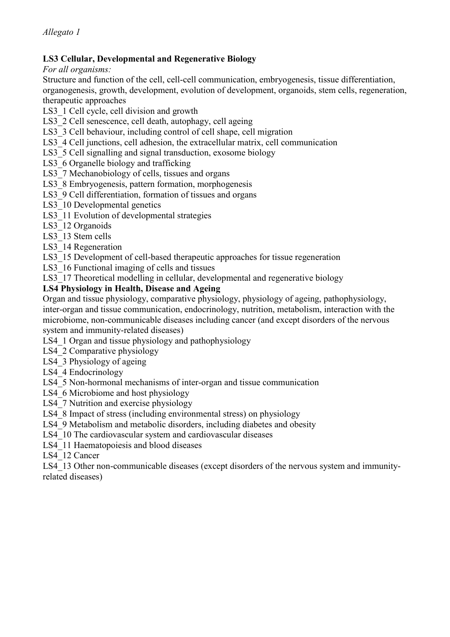## **LS3 Cellular, Developmental and Regenerative Biology**

*For all organisms:* 

Structure and function of the cell, cell-cell communication, embryogenesis, tissue differentiation, organogenesis, growth, development, evolution of development, organoids, stem cells, regeneration, therapeutic approaches

LS3 1 Cell cycle, cell division and growth

LS3 2 Cell senescence, cell death, autophagy, cell ageing

LS3 3 Cell behaviour, including control of cell shape, cell migration

LS3 4 Cell junctions, cell adhesion, the extracellular matrix, cell communication

- LS3 5 Cell signalling and signal transduction, exosome biology
- LS3 6 Organelle biology and trafficking
- LS3 7 Mechanobiology of cells, tissues and organs

LS3\_8 Embryogenesis, pattern formation, morphogenesis

LS3 9 Cell differentiation, formation of tissues and organs

- LS3 10 Developmental genetics
- LS3\_11 Evolution of developmental strategies

LS3 12 Organoids

LS3 13 Stem cells

LS3 14 Regeneration

LS3 15 Development of cell-based therapeutic approaches for tissue regeneration

LS3 16 Functional imaging of cells and tissues

LS3\_17 Theoretical modelling in cellular, developmental and regenerative biology

#### **LS4 Physiology in Health, Disease and Ageing**

Organ and tissue physiology, comparative physiology, physiology of ageing, pathophysiology, inter-organ and tissue communication, endocrinology, nutrition, metabolism, interaction with the microbiome, non-communicable diseases including cancer (and except disorders of the nervous system and immunity-related diseases)

LS4\_1 Organ and tissue physiology and pathophysiology

LS4 2 Comparative physiology

LS4 3 Physiology of ageing

LS4\_4 Endocrinology

LS4 5 Non-hormonal mechanisms of inter-organ and tissue communication

LS4 6 Microbiome and host physiology

LS4 7 Nutrition and exercise physiology

LS4 8 Impact of stress (including environmental stress) on physiology

LS4 9 Metabolism and metabolic disorders, including diabetes and obesity

LS4 10 The cardiovascular system and cardiovascular diseases

LS4\_11 Haematopoiesis and blood diseases

LS4 12 Cancer

LS4 13 Other non-communicable diseases (except disorders of the nervous system and immunityrelated diseases)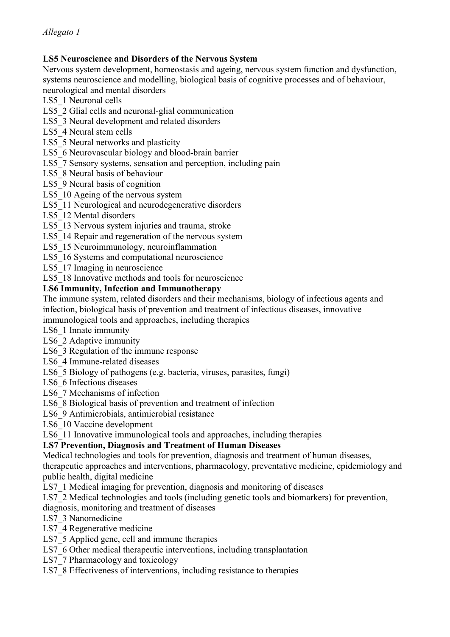## **LS5 Neuroscience and Disorders of the Nervous System**

Nervous system development, homeostasis and ageing, nervous system function and dysfunction, systems neuroscience and modelling, biological basis of cognitive processes and of behaviour, neurological and mental disorders

LS5\_1 Neuronal cells

LS5 2 Glial cells and neuronal-glial communication

- LS5\_3 Neural development and related disorders
- LS5 4 Neural stem cells
- LS5 5 Neural networks and plasticity
- LS5 6 Neurovascular biology and blood-brain barrier
- LS5 7 Sensory systems, sensation and perception, including pain
- LS5 8 Neural basis of behaviour
- LS5 9 Neural basis of cognition
- LS5 10 Ageing of the nervous system
- LS5 11 Neurological and neurodegenerative disorders
- LS5\_12 Mental disorders
- LS5 13 Nervous system injuries and trauma, stroke
- LS5 14 Repair and regeneration of the nervous system
- LS5\_15 Neuroimmunology, neuroinflammation
- LS5  $16$  Systems and computational neuroscience
- LS5 17 Imaging in neuroscience
- LS5 18 Innovative methods and tools for neuroscience

#### **LS6 Immunity, Infection and Immunotherapy**

The immune system, related disorders and their mechanisms, biology of infectious agents and infection, biological basis of prevention and treatment of infectious diseases, innovative immunological tools and approaches, including therapies

- LS6\_1 Innate immunity
- LS6\_2 Adaptive immunity
- LS6 3 Regulation of the immune response
- LS6\_4 Immune-related diseases
- LS6 5 Biology of pathogens (e.g. bacteria, viruses, parasites, fungi)
- LS6 6 Infectious diseases
- LS6<sub>7</sub> Mechanisms of infection
- LS6 8 Biological basis of prevention and treatment of infection
- LS6\_9 Antimicrobials, antimicrobial resistance
- LS6\_10 Vaccine development
- LS6\_11 Innovative immunological tools and approaches, including therapies

## **LS7 Prevention, Diagnosis and Treatment of Human Diseases**

Medical technologies and tools for prevention, diagnosis and treatment of human diseases, therapeutic approaches and interventions, pharmacology, preventative medicine, epidemiology and public health, digital medicine

- LS7 1 Medical imaging for prevention, diagnosis and monitoring of diseases
- LS7 2 Medical technologies and tools (including genetic tools and biomarkers) for prevention, diagnosis, monitoring and treatment of diseases
- LS7\_3 Nanomedicine
- LS7\_4 Regenerative medicine
- LS7 5 Applied gene, cell and immune therapies
- LS7 6 Other medical therapeutic interventions, including transplantation
- LS7\_7 Pharmacology and toxicology
- LS7  $\,8$  Effectiveness of interventions, including resistance to therapies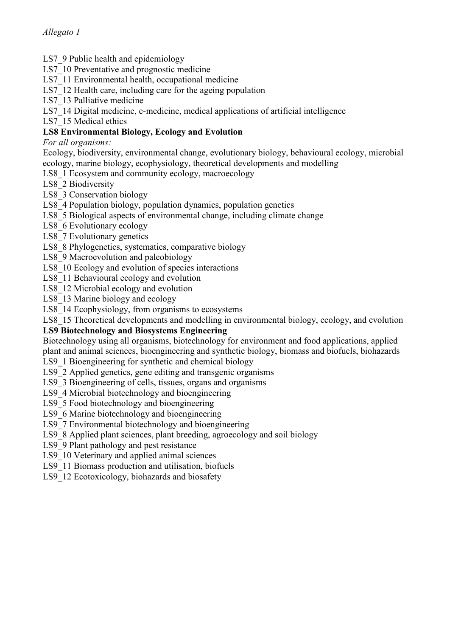- LS7\, 9 Public health and epidemiology
- LS7\_10 Preventative and prognostic medicine
- LS7 11 Environmental health, occupational medicine
- LS7 12 Health care, including care for the ageing population
- LS7 13 Palliative medicine
- LS7\_14 Digital medicine, e-medicine, medical applications of artificial intelligence
- LS7 15 Medical ethics

# **LS8 Environmental Biology, Ecology and Evolution**

*For all organisms:* 

- Ecology, biodiversity, environmental change, evolutionary biology, behavioural ecology, microbial ecology, marine biology, ecophysiology, theoretical developments and modelling
- LS8\_1 Ecosystem and community ecology, macroecology
- LS8\_2 Biodiversity
- LS8\_3 Conservation biology
- LS8\_4 Population biology, population dynamics, population genetics
- LS8<sup>5</sup> Biological aspects of environmental change, including climate change
- LS8 6 Evolutionary ecology
- LS8 7 Evolutionary genetics
- LS8 8 Phylogenetics, systematics, comparative biology
- LS8 9 Macroevolution and paleobiology
- LS8\_10 Ecology and evolution of species interactions
- LS8\_11 Behavioural ecology and evolution
- LS8\_12 Microbial ecology and evolution
- LS8\_13 Marine biology and ecology
- LS8 14 Ecophysiology, from organisms to ecosystems

LS8 15 Theoretical developments and modelling in environmental biology, ecology, and evolution

## **LS9 Biotechnology and Biosystems Engineering**

Biotechnology using all organisms, biotechnology for environment and food applications, applied plant and animal sciences, bioengineering and synthetic biology, biomass and biofuels, biohazards

- LS9\_1 Bioengineering for synthetic and chemical biology
- LS9 2 Applied genetics, gene editing and transgenic organisms
- LS9 3 Bioengineering of cells, tissues, organs and organisms
- LS9\_4 Microbial biotechnology and bioengineering
- LS9 5 Food biotechnology and bioengineering
- LS9 6 Marine biotechnology and bioengineering
- LS9 7 Environmental biotechnology and bioengineering
- LS9 8 Applied plant sciences, plant breeding, agroecology and soil biology
- LS9 9 Plant pathology and pest resistance
- LS9 10 Veterinary and applied animal sciences
- LS9\_11 Biomass production and utilisation, biofuels
- LS9\_12 Ecotoxicology, biohazards and biosafety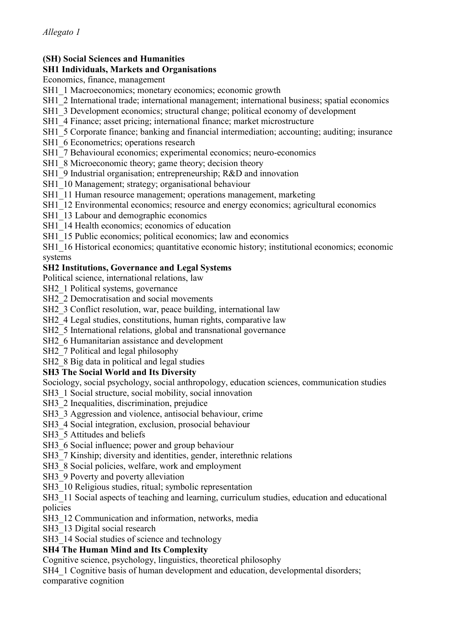# **(SH) Social Sciences and Humanities**

### **SH1 Individuals, Markets and Organisations**

Economics, finance, management

- SH1\_1 Macroeconomics; monetary economics; economic growth
- SH1\_2 International trade; international management; international business; spatial economics
- SH1\_3 Development economics; structural change; political economy of development
- SH1\_4 Finance; asset pricing; international finance; market microstructure
- SH1\_5 Corporate finance; banking and financial intermediation; accounting; auditing; insurance
- SH1\_6 Econometrics; operations research
- SH1\_7 Behavioural economics; experimental economics; neuro-economics
- SH1\_8 Microeconomic theory; game theory; decision theory
- SH1\_9 Industrial organisation; entrepreneurship; R&D and innovation
- SH1\_10 Management; strategy; organisational behaviour
- SH1 11 Human resource management; operations management, marketing
- SH1\_12 Environmental economics; resource and energy economics; agricultural economics
- SH1\_13 Labour and demographic economics
- SH1\_14 Health economics; economics of education
- SH1\_15 Public economics; political economics; law and economics
- SH1\_16 Historical economics; quantitative economic history; institutional economics; economic systems

#### **SH2 Institutions, Governance and Legal Systems**

- Political science, international relations, law
- SH2 1 Political systems, governance
- SH<sub>2</sub> 2 Democratisation and social movements
- SH2\_3 Conflict resolution, war, peace building, international law
- SH2 4 Legal studies, constitutions, human rights, comparative law
- SH2 5 International relations, global and transnational governance
- SH<sub>2</sub> 6 Humanitarian assistance and development
- SH2\_7 Political and legal philosophy
- SH<sub>2</sub> 8 Big data in political and legal studies

## **SH3 The Social World and Its Diversity**

Sociology, social psychology, social anthropology, education sciences, communication studies

SH3\_1 Social structure, social mobility, social innovation

- SH3<sup>2</sup> Inequalities, discrimination, prejudice
- SH3<sup>3</sup> Aggression and violence, antisocial behaviour, crime
- SH3\_4 Social integration, exclusion, prosocial behaviour
- SH3\_5 Attitudes and beliefs
- SH3\_6 Social influence; power and group behaviour
- SH3\_7 Kinship; diversity and identities, gender, interethnic relations
- SH3<sub>8</sub> Social policies, welfare, work and employment
- SH3\_9 Poverty and poverty alleviation
- SH3 10 Religious studies, ritual; symbolic representation

SH3 11 Social aspects of teaching and learning, curriculum studies, education and educational policies

SH3<sup>12</sup> Communication and information, networks, media

SH3 13 Digital social research

SH3 14 Social studies of science and technology

## **SH4 The Human Mind and Its Complexity**

Cognitive science, psychology, linguistics, theoretical philosophy

SH4\_1 Cognitive basis of human development and education, developmental disorders; comparative cognition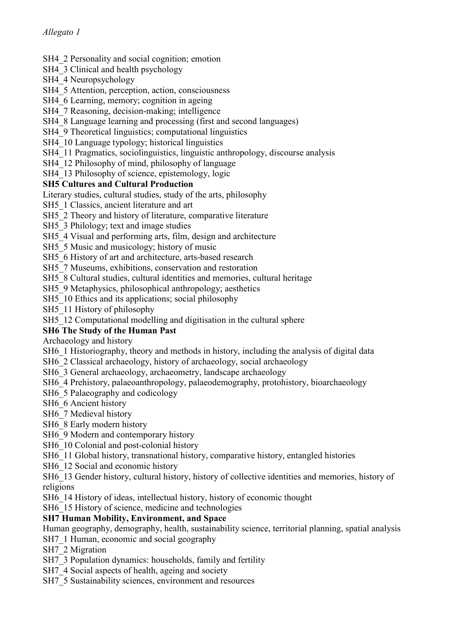## SH4 2 Personality and social cognition; emotion

- SH4\_3 Clinical and health psychology
- SH4\_4 Neuropsychology
- SH4\_5 Attention, perception, action, consciousness
- SH4 6 Learning, memory; cognition in ageing
- SH4 7 Reasoning, decision-making; intelligence
- SH4  $\,8$  Language learning and processing (first and second languages)
- SH4\_9 Theoretical linguistics; computational linguistics
- SH4\_10 Language typology; historical linguistics
- SH4\_11 Pragmatics, sociolinguistics, linguistic anthropology, discourse analysis
- SH4 12 Philosophy of mind, philosophy of language
- SH4 13 Philosophy of science, epistemology, logic

## **SH5 Cultures and Cultural Production**

Literary studies, cultural studies, study of the arts, philosophy

- SH5<sup>1</sup> Classics, ancient literature and art
- SH5<sub>2</sub> Theory and history of literature, comparative literature
- SH5<sup>3</sup> Philology; text and image studies
- SH5<sub>4</sub> Visual and performing arts, film, design and architecture
- SH5\_5 Music and musicology; history of music
- SH5\_6 History of art and architecture, arts-based research
- SH5<sub>7</sub> Museums, exhibitions, conservation and restoration
- SH5<sub>8</sub> Cultural studies, cultural identities and memories, cultural heritage
- SH5<sup>9</sup> Metaphysics, philosophical anthropology; aesthetics
- SH5<sup>10</sup> Ethics and its applications; social philosophy
- SH5<sup>11</sup> History of philosophy
- SH5\_12 Computational modelling and digitisation in the cultural sphere

## **SH6 The Study of the Human Past**

Archaeology and history

- SH6\_1 Historiography, theory and methods in history, including the analysis of digital data
- SH6\_2 Classical archaeology, history of archaeology, social archaeology
- SH6\_3 General archaeology, archaeometry, landscape archaeology
- SH6\_4 Prehistory, palaeoanthropology, palaeodemography, protohistory, bioarchaeology
- SH6\_5 Palaeography and codicology
- SH6\_6 Ancient history
- SH6\_7 Medieval history
- SH6\_8 Early modern history
- SH6\_9 Modern and contemporary history
- SH6<sup>10</sup> Colonial and post-colonial history
- SH6 11 Global history, transnational history, comparative history, entangled histories
- SH6<sup>12</sup> Social and economic history
- SH6\_13 Gender history, cultural history, history of collective identities and memories, history of religions
- SH6 14 History of ideas, intellectual history, history of economic thought
- SH6 15 History of science, medicine and technologies

## **SH7 Human Mobility, Environment, and Space**

- Human geography, demography, health, sustainability science, territorial planning, spatial analysis
- SH7<sup>1</sup> Human, economic and social geography
- SH7<sub>2</sub> Migration
- SH7\_3 Population dynamics: households, family and fertility
- SH7<sub>4</sub> Social aspects of health, ageing and society
- SH7\_5 Sustainability sciences, environment and resources